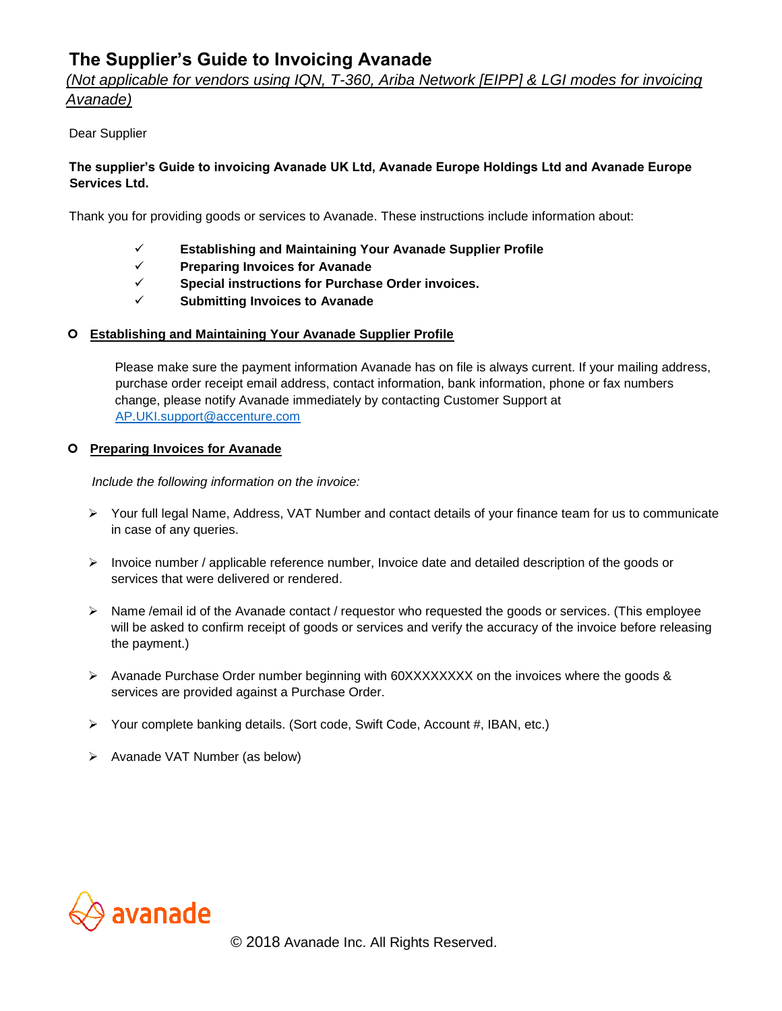# **The Supplier's Guide to Invoicing Avanade**

# *(Not applicable for vendors using IQN, T-360, Ariba Network [EIPP] & LGI modes for invoicing Avanade)*

## Dear Supplier

## **The supplier's Guide to invoicing Avanade UK Ltd, Avanade Europe Holdings Ltd and Avanade Europe Services Ltd.**

Thank you for providing goods or services to Avanade. These instructions include information about:

- ✓ **Establishing and Maintaining Your Avanade Supplier Profile**
- ✓ **Preparing Invoices for Avanade**
- ✓ **Special instructions for Purchase Order invoices.**
- ✓ **Submitting Invoices to Avanade**

#### **Establishing and Maintaining Your Avanade Supplier Profile**

Please make sure the payment information Avanade has on file is always current. If your mailing address, purchase order receipt email address, contact information, bank information, phone or fax numbers change, please notify Avanade immediately by contacting Customer Support at AP.UKI.support@accenture.com

#### **Preparing Invoices for Avanade**

*Include the following information on the invoice:*

- ➢ Your full legal Name, Address, VAT Number and contact details of your finance team for us to communicate in case of any queries.
- $\triangleright$  Invoice number / applicable reference number, Invoice date and detailed description of the goods or services that were delivered or rendered.
- ➢ Name /email id of the Avanade contact / requestor who requested the goods or services. (This employee will be asked to confirm receipt of goods or services and verify the accuracy of the invoice before releasing the payment.)
- $\triangleright$  Avanade Purchase Order number beginning with 60XXXXXXX on the invoices where the goods & services are provided against a Purchase Order.
- $\triangleright$  Your complete banking details. (Sort code, Swift Code, Account #, IBAN, etc.)
- ➢ Avanade VAT Number (as below)

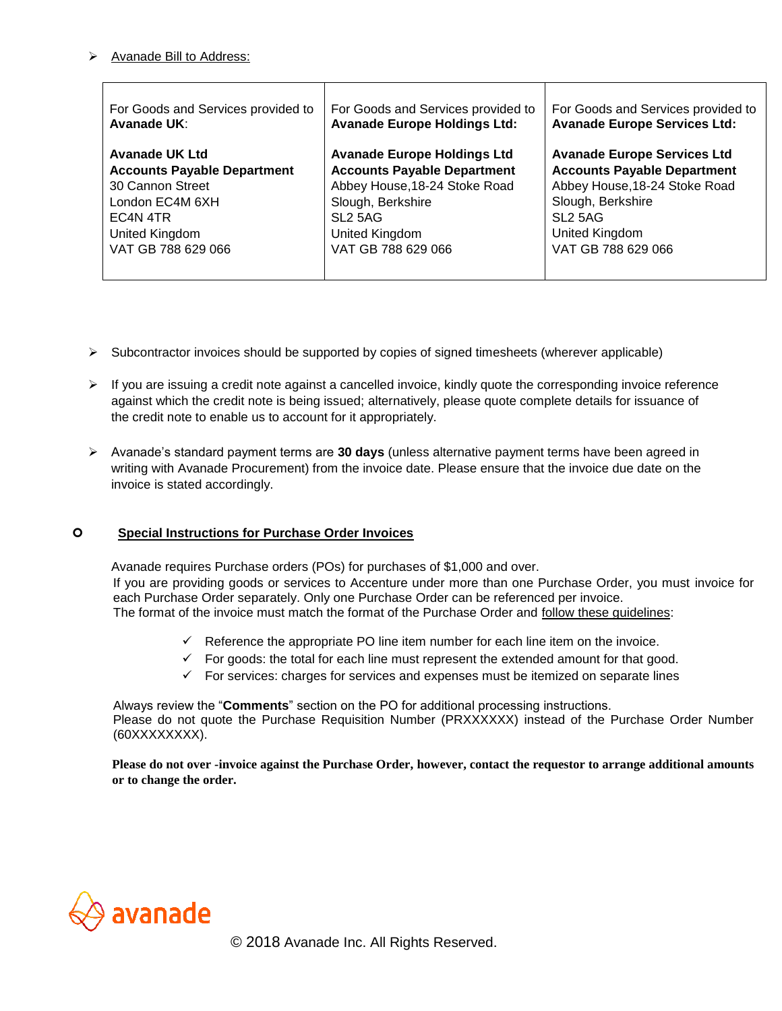#### ➢ Avanade Bill to Address:

| For Goods and Services provided to | For Goods and Services provided to  | For Goods and Services provided to  |
|------------------------------------|-------------------------------------|-------------------------------------|
| Avanade UK:                        | <b>Avanade Europe Holdings Ltd:</b> | <b>Avanade Europe Services Ltd:</b> |
| <b>Avanade UK Ltd</b>              | <b>Avanade Europe Holdings Ltd</b>  | <b>Avanade Europe Services Ltd</b>  |
| <b>Accounts Payable Department</b> | <b>Accounts Payable Department</b>  | <b>Accounts Payable Department</b>  |
| 30 Cannon Street                   | Abbey House, 18-24 Stoke Road       | Abbey House, 18-24 Stoke Road       |
| London EC4M 6XH                    | Slough, Berkshire                   | Slough, Berkshire                   |
| EC4N 4TR                           | SL <sub>2</sub> 5AG                 | SL <sub>2</sub> 5AG                 |
| United Kingdom                     | United Kingdom                      | United Kingdom                      |
| VAT GB 788 629 066                 | VAT GB 788 629 066                  | VAT GB 788 629 066                  |

- ➢ Subcontractor invoices should be supported by copies of signed timesheets (wherever applicable)
- $\triangleright$  If you are issuing a credit note against a cancelled invoice, kindly quote the corresponding invoice reference against which the credit note is being issued; alternatively, please quote complete details for issuance of the credit note to enable us to account for it appropriately.
- ➢ Avanade's standard payment terms are **30 days** (unless alternative payment terms have been agreed in writing with Avanade Procurement) from the invoice date. Please ensure that the invoice due date on the invoice is stated accordingly.

#### **Special Instructions for Purchase Order Invoices**

Avanade requires Purchase orders (POs) for purchases of \$1,000 and over. If you are providing goods or services to Accenture under more than one Purchase Order, you must invoice for each Purchase Order separately. Only one Purchase Order can be referenced per invoice. The format of the invoice must match the format of the Purchase Order and follow these guidelines:

- $\checkmark$  Reference the appropriate PO line item number for each line item on the invoice.
- $\checkmark$  For goods: the total for each line must represent the extended amount for that good.
- $\checkmark$  For services: charges for services and expenses must be itemized on separate lines

Always review the "**Comments**" section on the PO for additional processing instructions. Please do not quote the Purchase Requisition Number (PRXXXXXX) instead of the Purchase Order Number (60XXXXXXXX).

**Please do not over -invoice against the Purchase Order, however, contact the requestor to arrange additional amounts or to change the order.** 

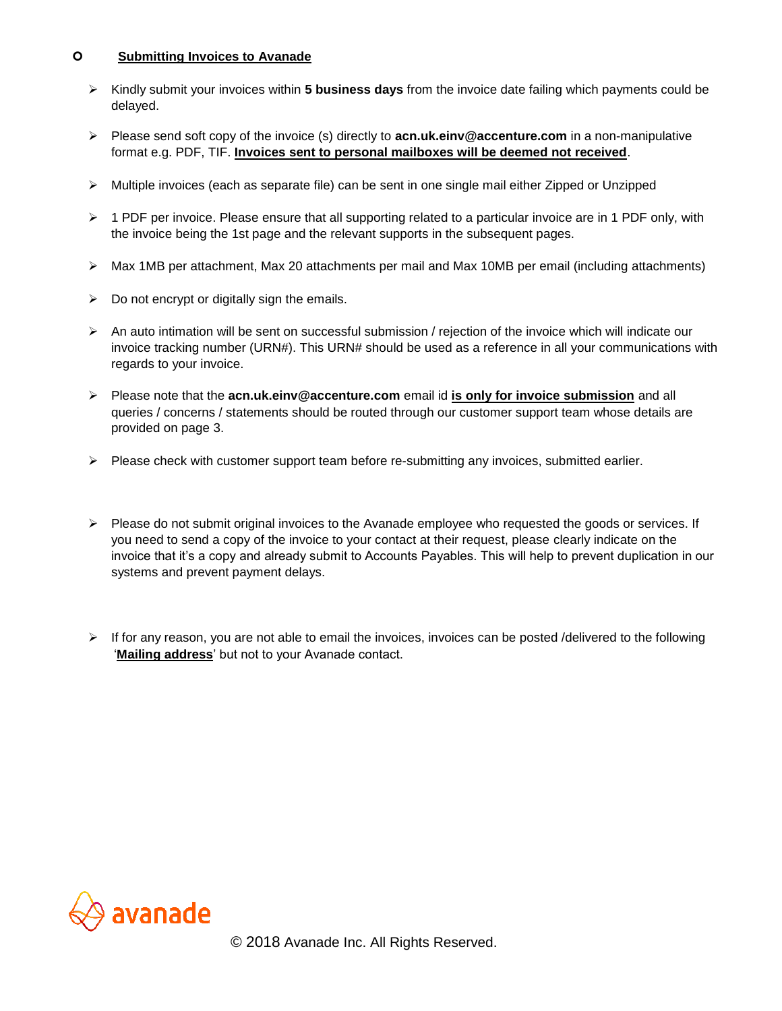#### **Submitting Invoices to Avanade**

- ➢ Kindly submit your invoices within **5 business days** from the invoice date failing which payments could be delayed.
- ➢ Please send soft copy of the invoice (s) directly to **acn.uk.einv@accenture.com** in a non-manipulative format e.g. PDF, TIF. **Invoices sent to personal mailboxes will be deemed not received**.
- $\triangleright$  Multiple invoices (each as separate file) can be sent in one single mail either Zipped or Unzipped
- ➢ 1 PDF per invoice. Please ensure that all supporting related to a particular invoice are in 1 PDF only, with the invoice being the 1st page and the relevant supports in the subsequent pages.
- ➢ Max 1MB per attachment, Max 20 attachments per mail and Max 10MB per email (including attachments)
- $\triangleright$  Do not encrypt or digitally sign the emails.
- ➢ An auto intimation will be sent on successful submission / rejection of the invoice which will indicate our invoice tracking number (URN#). This URN# should be used as a reference in all your communications with regards to your invoice.
- ➢ Please note that the **acn.uk.einv@accenture.com** email id **is only for invoice submission** and all queries / concerns / statements should be routed through our customer support team whose details are provided on page 3.
- $\triangleright$  Please check with customer support team before re-submitting any invoices, submitted earlier.
- ➢ Please do not submit original invoices to the Avanade employee who requested the goods or services. If you need to send a copy of the invoice to your contact at their request, please clearly indicate on the invoice that it's a copy and already submit to Accounts Payables. This will help to prevent duplication in our systems and prevent payment delays.
- ➢ If for any reason, you are not able to email the invoices, invoices can be posted /delivered to the following '**Mailing address**' but not to your Avanade contact.